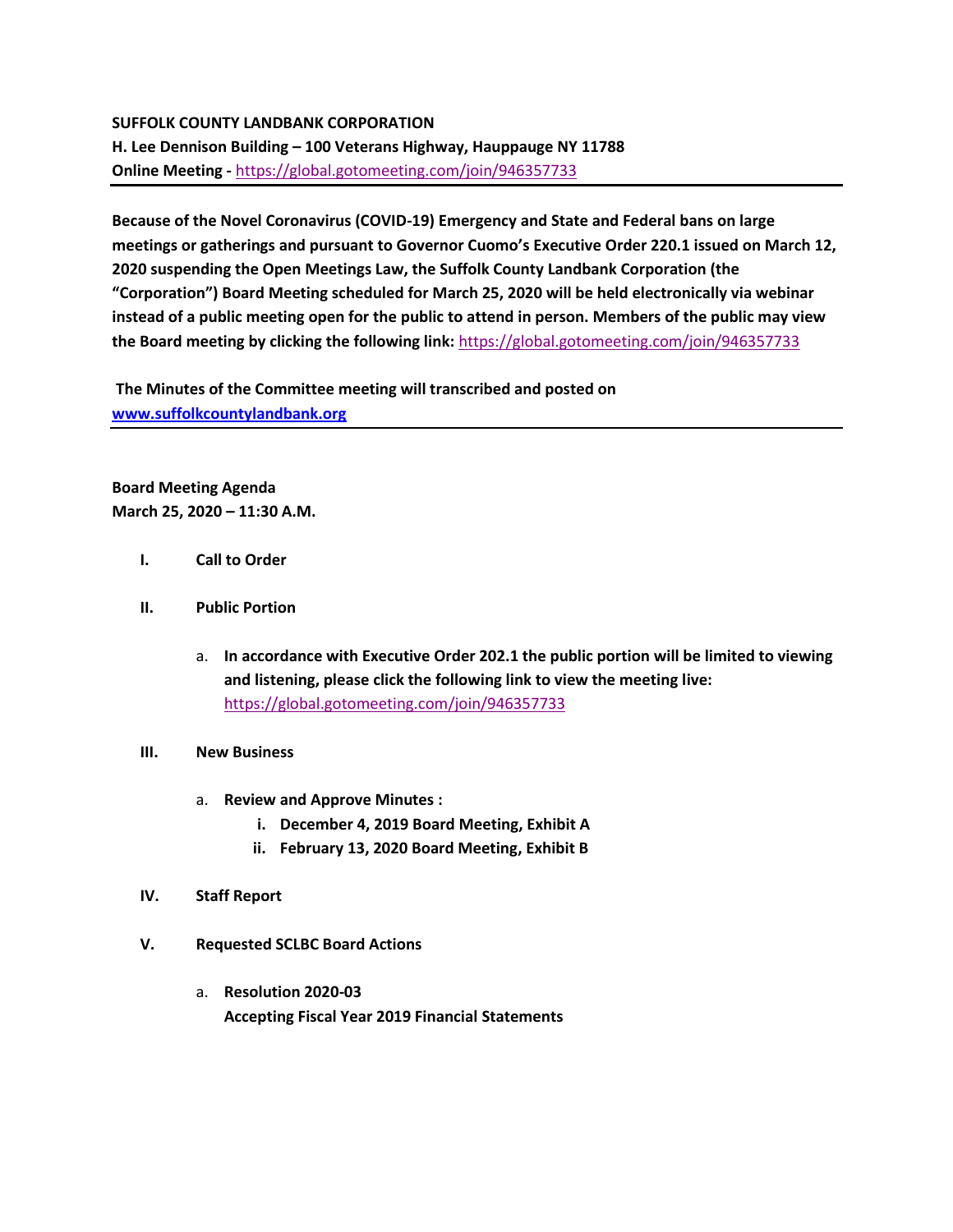# **SUFFOLK COUNTY LANDBANK CORPORATION**

**H. Lee Dennison Building – 100 Veterans Highway, Hauppauge NY 11788 Online Meeting -** [https://global.gotomeeting.com/join/946357733](https://webmail.suffolkcountyny.gov/owa/redir.aspx?C=G0xdCTzdVXfQmtA7DfQhSox5vMbVBeGF34NL6_F8gtr7-a3uSMvXCA..&URL=https%3a%2f%2fglobal.gotomeeting.com%2fjoin%2f946357733)

**Because of the Novel Coronavirus (COVID-19) Emergency and State and Federal bans on large meetings or gatherings and pursuant to Governor Cuomo's Executive Order 220.1 issued on March 12, 2020 suspending the Open Meetings Law, the Suffolk County Landbank Corporation (the "Corporation") Board Meeting scheduled for March 25, 2020 will be held electronically via webinar instead of a public meeting open for the public to attend in person. Members of the public may view the Board meeting by clicking the following link:** [https://global.gotomeeting.com/join/946357733](https://webmail.suffolkcountyny.gov/owa/redir.aspx?C=G0xdCTzdVXfQmtA7DfQhSox5vMbVBeGF34NL6_F8gtr7-a3uSMvXCA..&URL=https%3a%2f%2fglobal.gotomeeting.com%2fjoin%2f946357733)

**The Minutes of the Committee meeting will transcribed and posted on [www.suffolkcountylandbank.org](http://www.suffolkcountylandbank.org/)**

**Board Meeting Agenda March 25, 2020 – 11:30 A.M.**

- **I. Call to Order**
- **II. Public Portion** 
	- a. **In accordance with Executive Order 202.1 the public portion will be limited to viewing and listening, please click the following link to view the meeting live:**  [https://global.gotomeeting.com/join/946357733](https://webmail.suffolkcountyny.gov/owa/redir.aspx?C=G0xdCTzdVXfQmtA7DfQhSox5vMbVBeGF34NL6_F8gtr7-a3uSMvXCA..&URL=https%3a%2f%2fglobal.gotomeeting.com%2fjoin%2f946357733)

# **III. New Business**

- a. **Review and Approve Minutes :**
	- **i. December 4, 2019 Board Meeting, Exhibit A**
	- **ii. February 13, 2020 Board Meeting, Exhibit B**

### **IV. Staff Report**

- **V. Requested SCLBC Board Actions** 
	- a. **Resolution 2020-03 Accepting Fiscal Year 2019 Financial Statements**